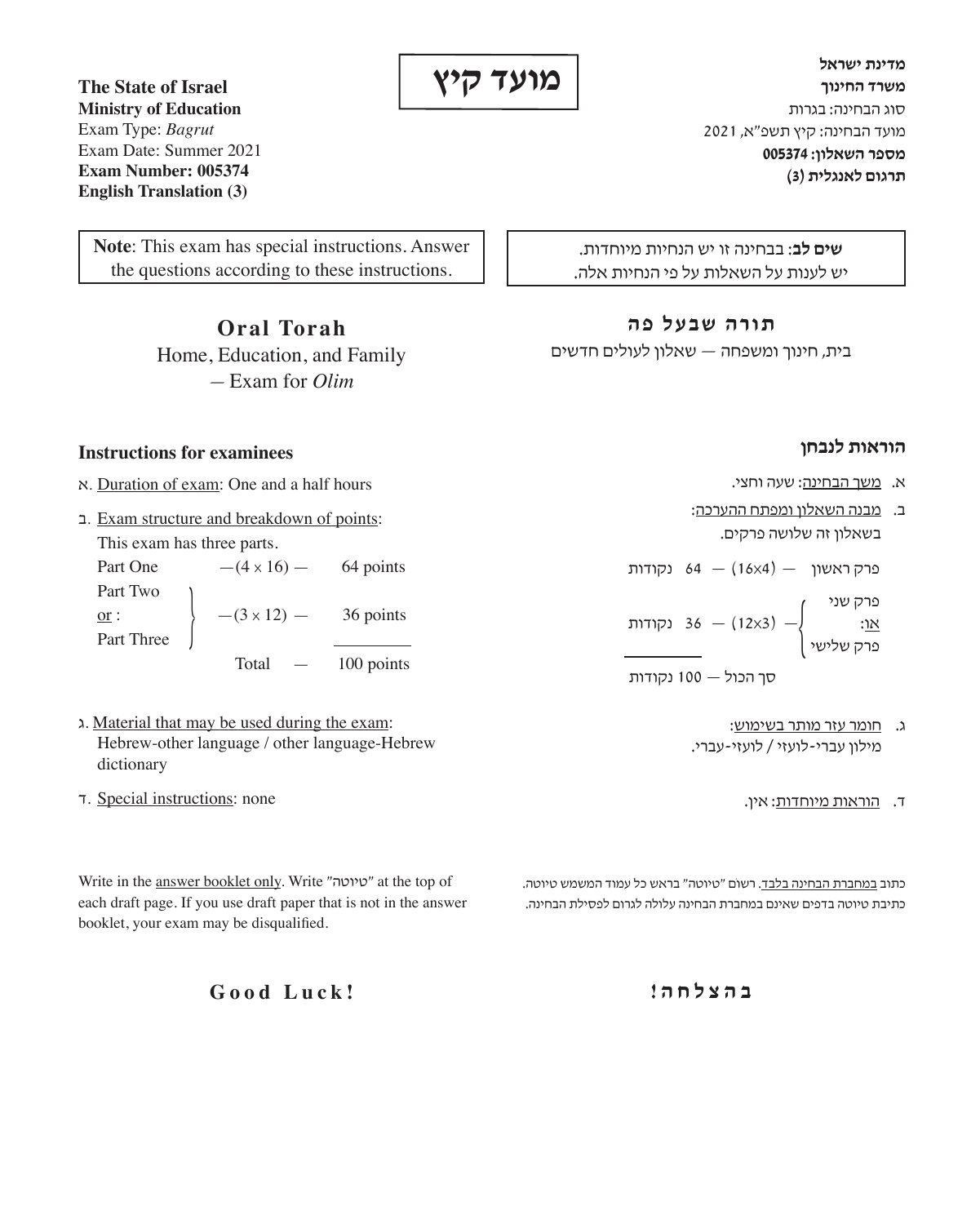**מועד קיץ**

**מדינת ישראל משרד החינוך** סוג הבחינה: בגרות מועד הבחינה: קיץ תשפ"א, 2021 **מספר השאלון005374: תרגום לאנגלית )3(**

**שים לב**: בבחינה זו יש הנחיות מיוחדות. יש לענות על השאלות על פי הנחיות אלה.

### **תורה שבעל פה**

בית, חינוך ומשפחה — שאלון לעולים חדשים

# **הוראות לנבחן**

- א. משך הבחינה: שעה וחצי.
- ב. מבנה השאלון ומפתח ההערכה: בשאלון זה שלושה פרקים.

פרק ראשון  $(16\times4)$  נקודות

פרק שני — )3x12 — )36 נקודות או: { פרק שלישי

סך הכול — 100 נקודות

- ג. חומר עזר מותר בשימוש: מילון עברי-לועזי / לועזי-עברי.
	- ד. <u>הוראות מיוחדות</u>: אין.

כתוב במחברת הבחינה בלבד. רשוֹם "טיוטה" בראש כל עמוד המשמש טיוטה. כתיבת טיוטה בדפים שאינם במחברת הבחינה עלולה לגרום לפסילת הבחינה.

Exam Type: *Bagrut* Exam Date: Summer 2021 **Exam Number: 005374 English Translation (3)**

**The State of Israel Ministry of Education** 

**Note**: This exam has special instructions. Answer the questions according to these instructions.

> **Oral Torah** Home, Education, and Family — Exam for *Olim*

#### **Instructions for examinees**

- א. Duration of exam: One and a half hours
- ב. Exam structure and breakdown of points: This exam has three parts. Part One  $-(4 \times 16)$  — 64 points Part Two  $\frac{\text{or}}{\text{Part Three}}$   $-$  (3 x 12) - 36 points

100 points

- ג. Material that may be used during the exam: Hebrew-other language / other language-Hebrew dictionary
- ד. Special instructions: none

Write in the answer booklet only. Write "טיוטה "at the top of each draft page. If you use draft paper that is not in the answer booklet, your exam may be disqualified.

**ב ה צ ל ח ה !**

**Good Luck!**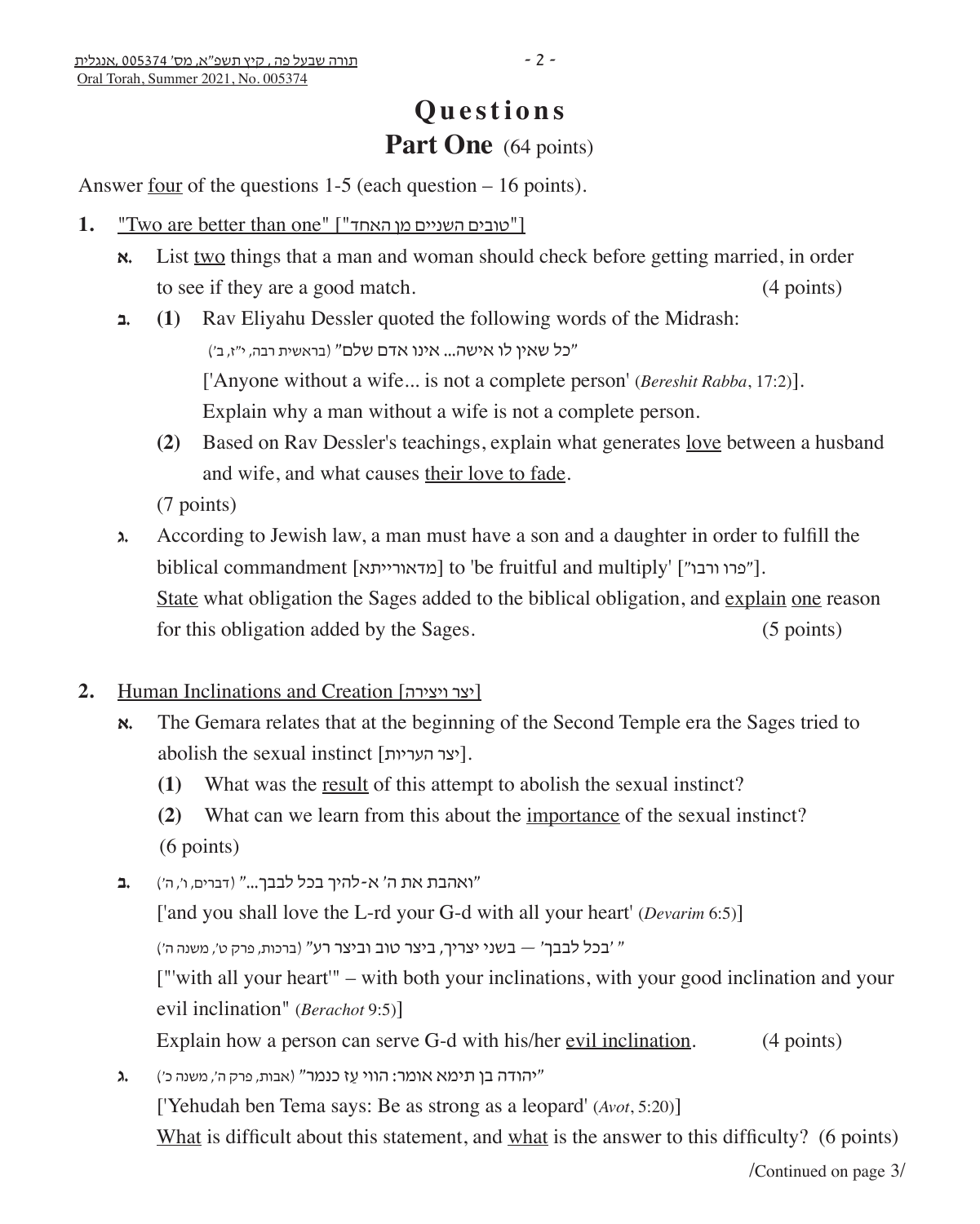# **Questions** Part One (64 points)

Answer <u>four</u> of the questions  $1-5$  (each question  $-16$  points).

- 1. "Two are better than one" ["האחד"]
	- **א.** List two things that a man and woman should check before getting married, in order to see if they are a good match. (4 points)
	- **ב.) 1 (**Rav Eliyahu Dessler quoted the following words of the Midrash: "כל שאין לו אישה... אינו אדם שלם" )בראשית רבה, י"ז, ב'( ['Anyone without a wife... is not a complete person' (*Bereshit Rabba*, 17:2)]. Explain why a man without a wife is not a complete person.
		- **(2)** Based on Rav Dessler's teachings, explain what generates love between a husband and wife, and what causes their love to fade.

(7 points)

- **ג.** According to Jewish law, a man must have a son and a daughter in order to fulfill the biblical commandment [מדאורייתא] to 'be fruitful and multiply' ["פרו ורבו"]. State what obligation the Sages added to the biblical obligation, and explain one reason for this obligation added by the Sages. (5 points)
- 2. Human Inclinations and Creation [יצר ויצירה]
	- **א.** The Gemara relates that at the beginning of the Second Temple era the Sages tried to abolish the sexual instinct [יצר העריות].
		- **(1)** What was the result of this attempt to abolish the sexual instinct?

**(2)** What can we learn from this about the importance of the sexual instinct? (6 points)

"ואהבת את ה' א-להיך בכל לבבך..." )דברים, ו', ה'( **.ב**

['and you shall love the L-rd your G-d with all your heart' (*Devarim* 6:5)]

" 'בכל לבבך' — בשני יצריך, ביצר טוב וביצר רע" (ברכות, פרק ט', משנה ה')

 ["'with all your heart'" – with both your inclinations, with your good inclination and your evil inclination" (*Berachot* 9:5)]

Explain how a person can serve G-d with his/her evil inclination. (4 points)

**"**יהודה בן תימא אומר: הווי עַז כנמר" (אבות, פרק ה', משנה כ')

['Yehudah ben Tema says: Be as strong as a leopard' (*Avot*, 5:20)]

What is difficult about this statement, and what is the answer to this difficulty? (6 points)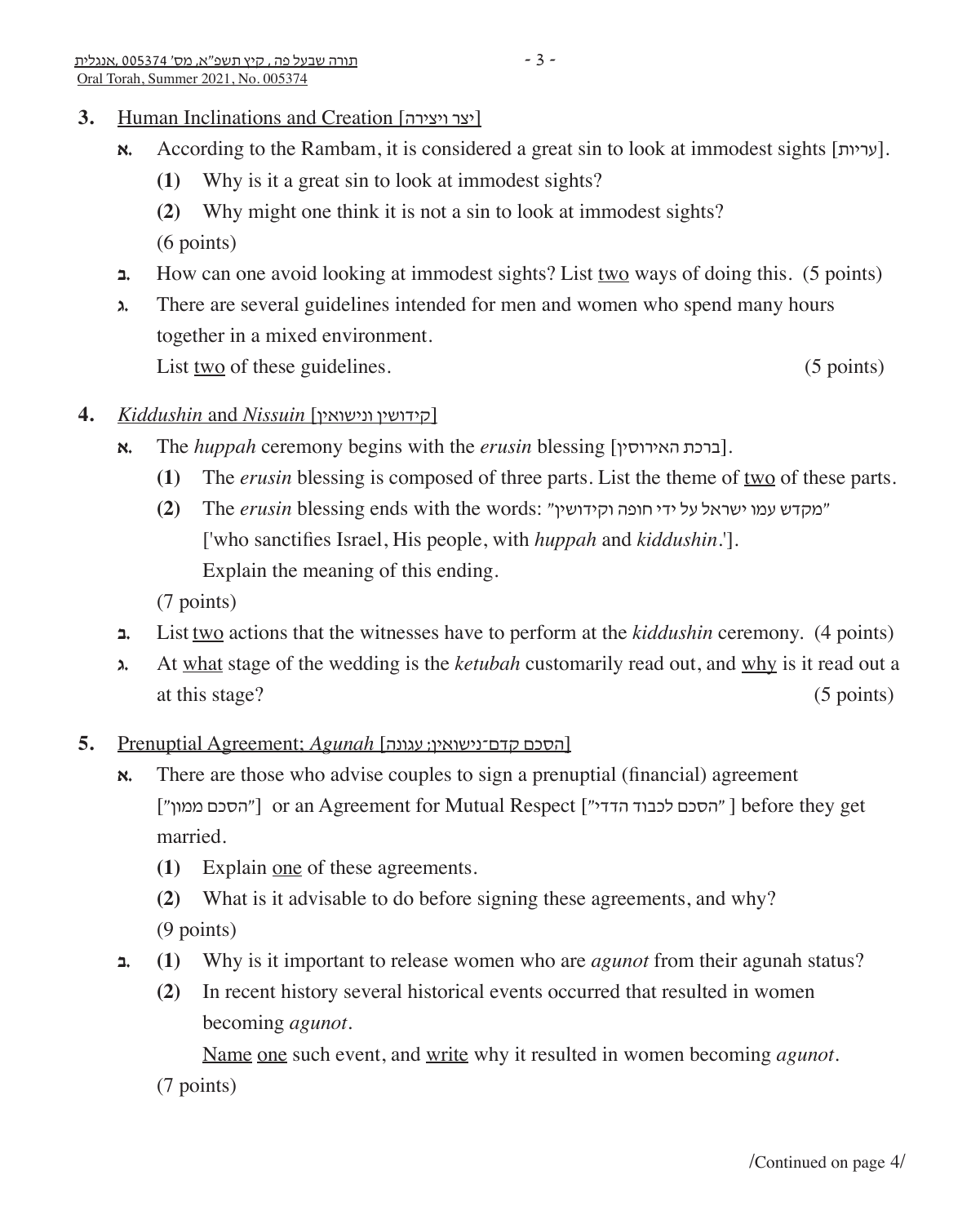# **3.** Human Inclinations and Creation [יצר ויצירה]

- **א.** According to the Rambam, it is considered a great sin to look at immodest sights [עריות].
	- **(1)** Why is it a great sin to look at immodest sights?
	- **(2)** Why might one think it is not a sin to look at immodest sights? (6 points)
- **ב.** How can one avoid looking at immodest sights? List two ways of doing this. (5 points)
- **ג.** There are several guidelines intended for men and women who spend many hours together in a mixed environment. List two of these guidelines. (5 points) (5 points)

## **4.** *Kiddushin* and *Nissuin* [ונישואין קידושין[

- **א.** The *huppah* ceremony begins with the *erusin* blessing [ברכת האירוסין].
	- **(1)** The *erusin* blessing is composed of three parts. List the theme of two of these parts.
	- "מקדש עמו ישראל על ידי חופה וקידושין" :words the with ends blessing *erusin* The**) 2(** ['who sanctifies Israel, His people, with *huppah* and *kiddushin*.']. Explain the meaning of this ending.

(7 points)

- **ב.** List two actions that the witnesses have to perform at the *kiddushin* ceremony. (4 points)
- **ג.** At what stage of the wedding is the *ketubah* customarily read out, and why is it read out a at this stage? (5 points)
- ]הסכם קדם־נישואין; עגונה] *Agunah*; Agreement Prenuptial **5.**
	- **א.** There are those who advise couples to sign a prenuptial (financial) agreement ["הסכם ממון"] or an Agreement for Mutual Respect ["הסכם ממון"] before they get married.
		- **(1)** Explain one of these agreements.
		- **(2)** What is it advisable to do before signing these agreements, and why? (9 points)
	- **ב.) 1 (**Why is it important to release women who are *agunot* from their agunah status?
		- **(2)** In recent history several historical events occurred that resulted in women becoming *agunot*.

 Name one such event, and write why it resulted in women becoming *agunot*. (7 points)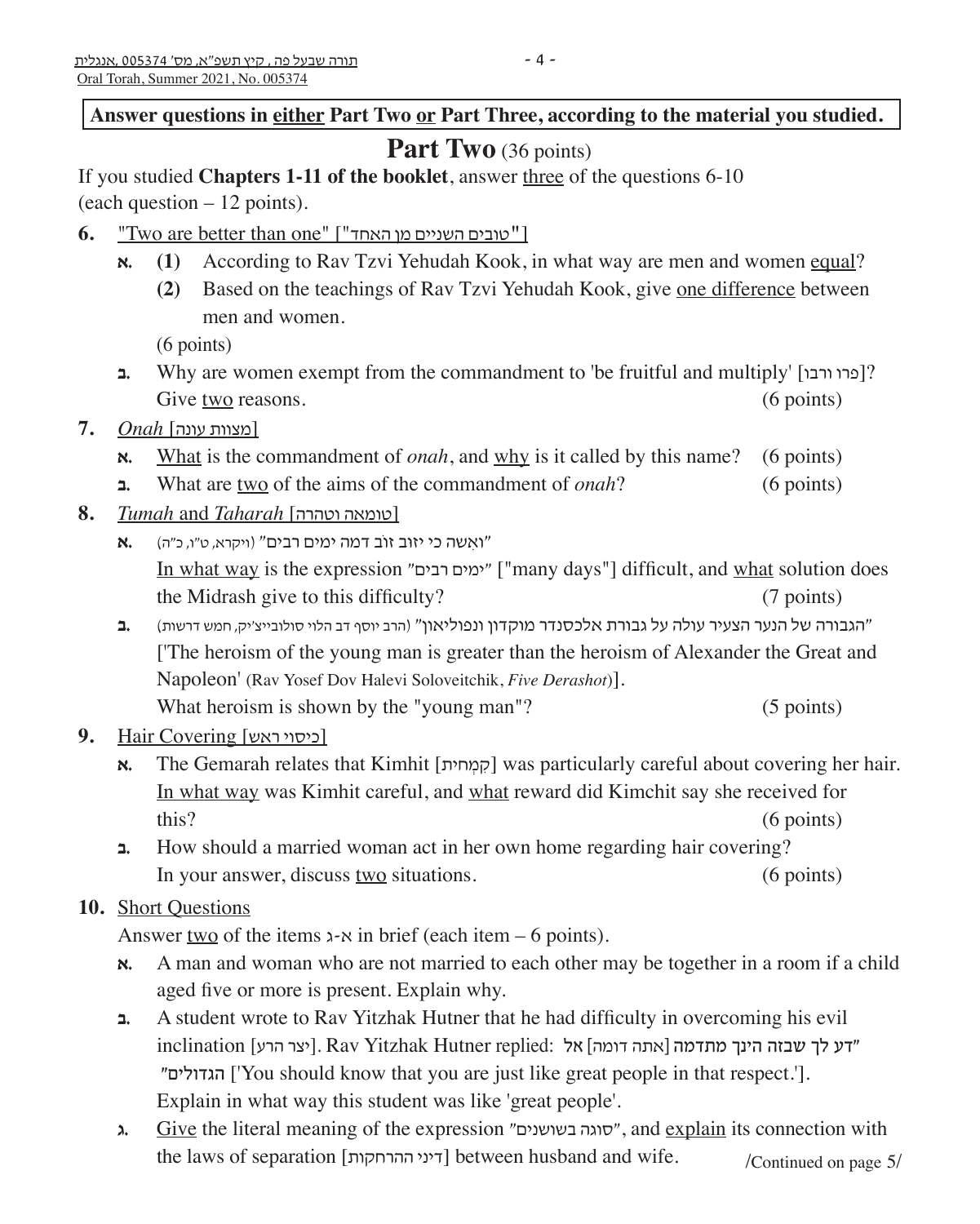Answer questions in either Part Two or Part Three, according to the material you studied.

# Part Two (36 points)

If you studied **Chapters 1-11 of the booklet**, answer three of the questions 6-10 (each question – 12 points).

- **6.** "Two are better than one" ["האחד מן השניים טובים[**"**
	- **x. (1)** According to Rav Tzvi Yehudah Kook, in what way are men and women equal?
		- **(2)** Based on the teachings of Rav Tzvi Yehudah Kook, give one difference between men and women.

(6 points)

- **ב.** Why are women exempt from the commandment to 'be fruitful and multiply' [ורבו פרו?[ Give two reasons. (6 points) (6 points)
- [מצוות עונה] *Onah* **7.**
	- **א.** What is the commandment of *onah*, and why is it called by this name? (6 points)
	- **ב.** What are two of the aims of the commandment of *onah*? (6 points)
- **8.** *Tumah* and *Taharah* [וטהרה טומאה[
	- "ואִ שה כי יזוּ ב זוֹב דמה ימים רבים" )ויקרא, ט"ו, כ"ה( **.א** In what way is the expression "רבים ימים"] "many days"] difficult, and what solution does the Midrash give to this difficulty? (7 points)
	- "הגבורה של הנער הצעיר עולה על גבורת אלכסנדר מוקדון ונפוליאון" )הרב יוסף דב הלוי סולובייצ'יק, חמש דרשות( **.ב** ['The heroism of the young man is greater than the heroism of Alexander the Great and Napoleon' (Rav Yosef Dov Halevi Soloveitchik, *Five Derashot*)]. What heroism is shown by the "young man"? (5 points)
- [כיסוי ראש] Covering Hair **9.**
	- **א**. The Gemarah relates that Kimhit [קמחית] was particularly careful about covering her hair. In what way was Kimhit careful, and what reward did Kimchit say she received for this? (6 points)
	- **ב.** How should a married woman act in her own home regarding hair covering? In your answer, discuss two situations. (6 points)

# **10.** Short Questions

Answer two of the items  $x \cdot x$  in brief (each item – 6 points).

- **א.** A man and woman who are not married to each other may be together in a room if a child aged five or more is present. Explain why.
- **ב.** A student wrote to Rav Yitzhak Hutner that he had difficulty in overcoming his evil "דע לך שבזה הינך מתדמה ]אתה דומה[ אל :replied Hutner Yitzhak Rav .]יצר הרע] inclination "הגדולים'] You should know that you are just like great people in that respect.']. Explain in what way this student was like 'great people'.
- **ג.** Give the literal meaning of the expression "סוגה בשושנים", and explain its connection with the laws of separation [דיני ההרחקות] between husband and wife. /Continued on page  $5/$